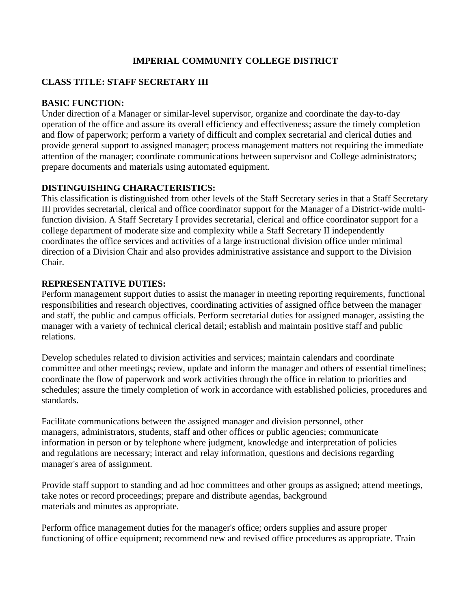# **IMPERIAL COMMUNITY COLLEGE DISTRICT**

## **CLASS TITLE: STAFF SECRETARY III**

## **BASIC FUNCTION:**

Under direction of a Manager or similar-level supervisor, organize and coordinate the day-to-day operation of the office and assure its overall efficiency and effectiveness; assure the timely completion and flow of paperwork; perform a variety of difficult and complex secretarial and clerical duties and provide general support to assigned manager; process management matters not requiring the immediate attention of the manager; coordinate communications between supervisor and College administrators; prepare documents and materials using automated equipment.

## **DISTINGUISHING CHARACTERISTICS:**

This classification is distinguished from other levels of the Staff Secretary series in that a Staff Secretary III provides secretarial, clerical and office coordinator support for the Manager of a District-wide multifunction division. A Staff Secretary I provides secretarial, clerical and office coordinator support for a college department of moderate size and complexity while a Staff Secretary II independently coordinates the office services and activities of a large instructional division office under minimal direction of a Division Chair and also provides administrative assistance and support to the Division Chair.

### **REPRESENTATIVE DUTIES:**

Perform management support duties to assist the manager in meeting reporting requirements, functional responsibilities and research objectives, coordinating activities of assigned office between the manager and staff, the public and campus officials. Perform secretarial duties for assigned manager, assisting the manager with a variety of technical clerical detail; establish and maintain positive staff and public relations.

Develop schedules related to division activities and services; maintain calendars and coordinate committee and other meetings; review, update and inform the manager and others of essential timelines; coordinate the flow of paperwork and work activities through the office in relation to priorities and schedules; assure the timely completion of work in accordance with established policies, procedures and standards.

Facilitate communications between the assigned manager and division personnel, other managers, administrators, students, staff and other offices or public agencies; communicate information in person or by telephone where judgment, knowledge and interpretation of policies and regulations are necessary; interact and relay information, questions and decisions regarding manager's area of assignment.

Provide staff support to standing and ad hoc committees and other groups as assigned; attend meetings, take notes or record proceedings; prepare and distribute agendas, background materials and minutes as appropriate.

Perform office management duties for the manager's office; orders supplies and assure proper functioning of office equipment; recommend new and revised office procedures as appropriate. Train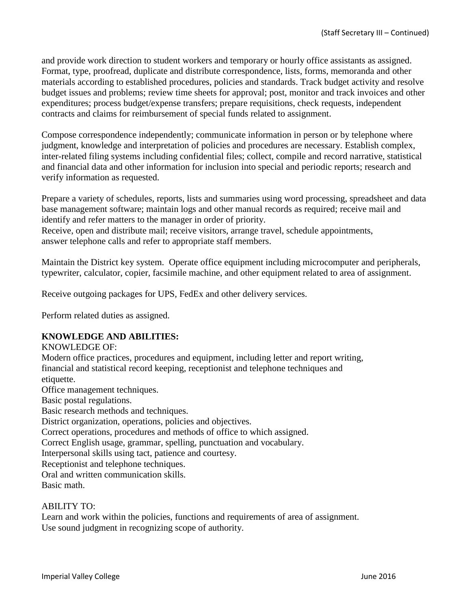and provide work direction to student workers and temporary or hourly office assistants as assigned. Format, type, proofread, duplicate and distribute correspondence, lists, forms, memoranda and other materials according to established procedures, policies and standards. Track budget activity and resolve budget issues and problems; review time sheets for approval; post, monitor and track invoices and other expenditures; process budget/expense transfers; prepare requisitions, check requests, independent contracts and claims for reimbursement of special funds related to assignment.

Compose correspondence independently; communicate information in person or by telephone where judgment, knowledge and interpretation of policies and procedures are necessary. Establish complex, inter-related filing systems including confidential files; collect, compile and record narrative, statistical and financial data and other information for inclusion into special and periodic reports; research and verify information as requested.

Prepare a variety of schedules, reports, lists and summaries using word processing, spreadsheet and data base management software; maintain logs and other manual records as required; receive mail and identify and refer matters to the manager in order of priority.

Receive, open and distribute mail; receive visitors, arrange travel, schedule appointments, answer telephone calls and refer to appropriate staff members.

Maintain the District key system. Operate office equipment including microcomputer and peripherals, typewriter, calculator, copier, facsimile machine, and other equipment related to area of assignment.

Receive outgoing packages for UPS, FedEx and other delivery services.

Perform related duties as assigned.

#### **KNOWLEDGE AND ABILITIES:**

KNOWLEDGE OF:

Modern office practices, procedures and equipment, including letter and report writing, financial and statistical record keeping, receptionist and telephone techniques and etiquette. Office management techniques. Basic postal regulations. Basic research methods and techniques. District organization, operations, policies and objectives. Correct operations, procedures and methods of office to which assigned. Correct English usage, grammar, spelling, punctuation and vocabulary. Interpersonal skills using tact, patience and courtesy. Receptionist and telephone techniques. Oral and written communication skills. Basic math.

#### ABILITY TO:

Learn and work within the policies, functions and requirements of area of assignment. Use sound judgment in recognizing scope of authority.